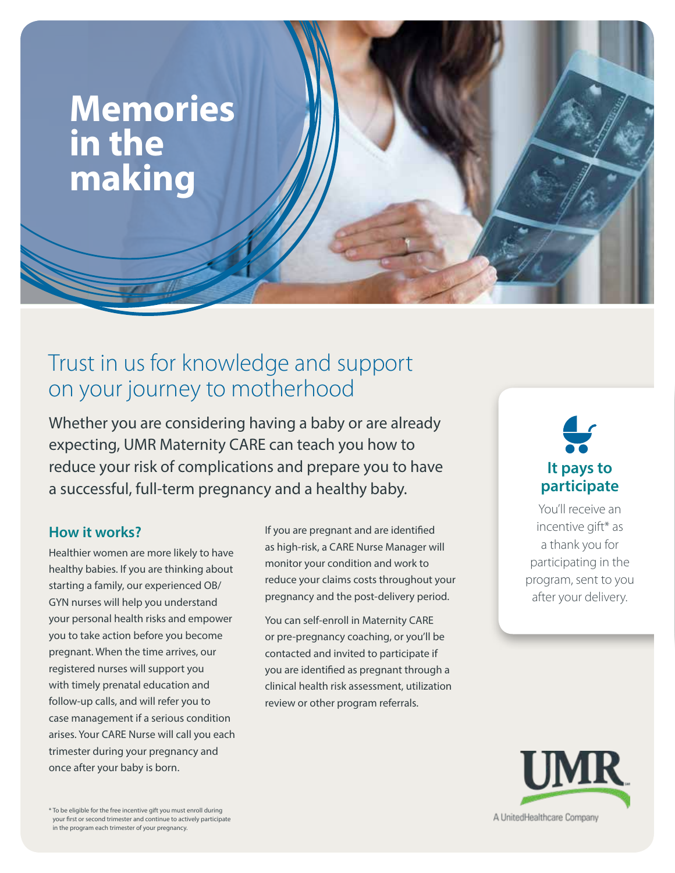# **Memories in the making**

# Trust in us for knowledge and support on your journey to motherhood

Whether you are considering having a baby or are already expecting, UMR Maternity CARE can teach you how to reduce your risk of complications and prepare you to have a successful, full-term pregnancy and a healthy baby.

### **How it works?**

Healthier women are more likely to have healthy babies. If you are thinking about starting a family, our experienced OB/ GYN nurses will help you understand your personal health risks and empower you to take action before you become pregnant. When the time arrives, our registered nurses will support you with timely prenatal education and follow-up calls, and will refer you to case management if a serious condition arises. Your CARE Nurse will call you each trimester during your pregnancy and once after your baby is born.

If you are pregnant and are identifed as high-risk, a CARE Nurse Manager will monitor your condition and work to reduce your claims costs throughout your pregnancy and the post-delivery period.

You can self-enroll in Maternity CARE or pre-pregnancy coaching, or you'll be contacted and invited to participate if you are identifed as pregnant through a clinical health risk assessment, utilization review or other program referrals.

# **It pays to participate**

You'll receive an incentive gift\* as a thank you for participating in the program, sent to you after your delivery.



\* To be eligible for the free incentive gift you must enroll during your frst or second trimester and continue to actively participate in the program each trimester of your pregnancy.